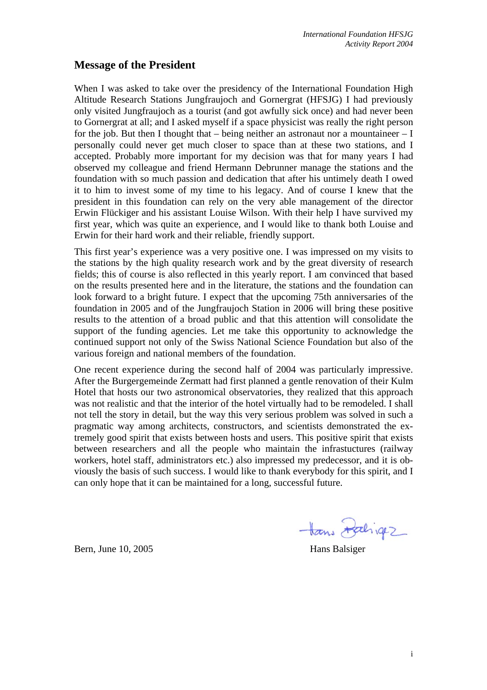## **Message of the President**

When I was asked to take over the presidency of the International Foundation High Altitude Research Stations Jungfraujoch and Gornergrat (HFSJG) I had previously only visited Jungfraujoch as a tourist (and got awfully sick once) and had never been to Gornergrat at all; and I asked myself if a space physicist was really the right person for the job. But then I thought that  $-$  being neither an astronaut nor a mountaineer  $-$  I personally could never get much closer to space than at these two stations, and I accepted. Probably more important for my decision was that for many years I had observed my colleague and friend Hermann Debrunner manage the stations and the foundation with so much passion and dedication that after his untimely death I owed it to him to invest some of my time to his legacy. And of course I knew that the president in this foundation can rely on the very able management of the director Erwin Flückiger and his assistant Louise Wilson. With their help I have survived my first year, which was quite an experience, and I would like to thank both Louise and Erwin for their hard work and their reliable, friendly support.

This first year's experience was a very positive one. I was impressed on my visits to the stations by the high quality research work and by the great diversity of research fields; this of course is also reflected in this yearly report. I am convinced that based on the results presented here and in the literature, the stations and the foundation can look forward to a bright future. I expect that the upcoming 75th anniversaries of the foundation in 2005 and of the Jungfraujoch Station in 2006 will bring these positive results to the attention of a broad public and that this attention will consolidate the support of the funding agencies. Let me take this opportunity to acknowledge the continued support not only of the Swiss National Science Foundation but also of the various foreign and national members of the foundation.

One recent experience during the second half of 2004 was particularly impressive. After the Burgergemeinde Zermatt had first planned a gentle renovation of their Kulm Hotel that hosts our two astronomical observatories, they realized that this approach was not realistic and that the interior of the hotel virtually had to be remodeled. I shall not tell the story in detail, but the way this very serious problem was solved in such a pragmatic way among architects, constructors, and scientists demonstrated the extremely good spirit that exists between hosts and users. This positive spirit that exists between researchers and all the people who maintain the infrastuctures (railway workers, hotel staff, administrators etc.) also impressed my predecessor, and it is obviously the basis of such success. I would like to thank everybody for this spirit, and I can only hope that it can be maintained for a long, successful future.

Bern, June 10, 2005 Hans Balsiger

Hans Daligez